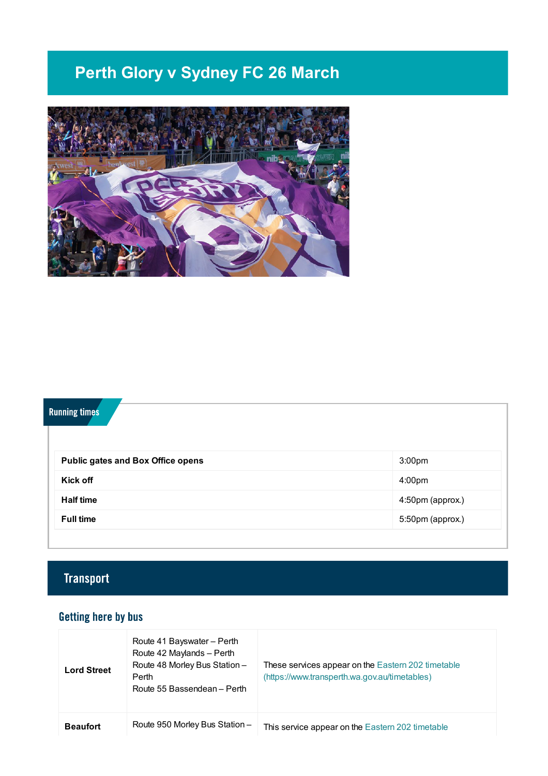# **Perth Glory v Sydney FC 26 March**



## **Running times**

| <b>Public gates and Box Office opens</b> | 3:00 <sub>pm</sub> |
|------------------------------------------|--------------------|
| <b>Kick off</b>                          | 4:00 <sub>pm</sub> |
| <b>Half time</b>                         | 4:50pm (approx.)   |
| <b>Full time</b>                         | 5:50pm (approx.)   |

## **Transport**

## **Getting here by bus**

| <b>Lord Street</b> | Route 41 Bayswater - Perth<br>Route 42 Maylands - Perth<br>Route 48 Morley Bus Station -<br>Perth<br>Route 55 Bassendean - Perth | These services appear on the Eastern 202 timetable<br>(https://www.transperth.wa.gov.au/timetables) |
|--------------------|----------------------------------------------------------------------------------------------------------------------------------|-----------------------------------------------------------------------------------------------------|
| <b>Beaufort</b>    | Route 950 Morley Bus Station -                                                                                                   | This service appear on the Eastern 202 timetable                                                    |